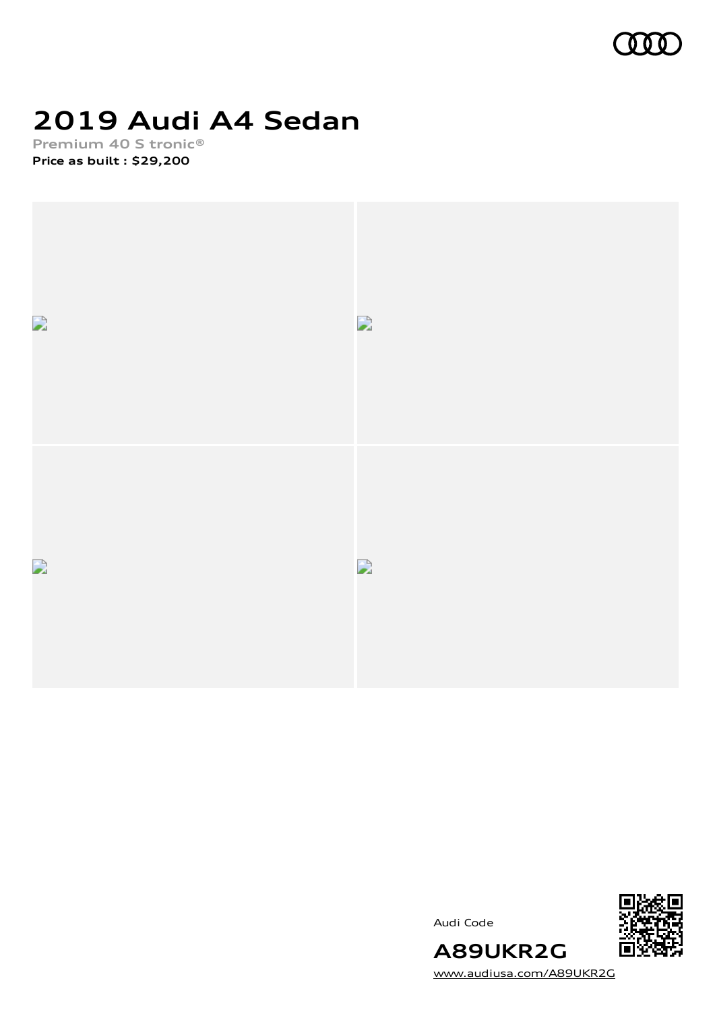

# **2019 Audi A4 Sedan**

**Premium 40 S tronic® Price as built [:](#page-10-0) \$29,200**







**A89UKR2G**

[www.audiusa.com/A89UKR2G](https://www.audiusa.com/A89UKR2G)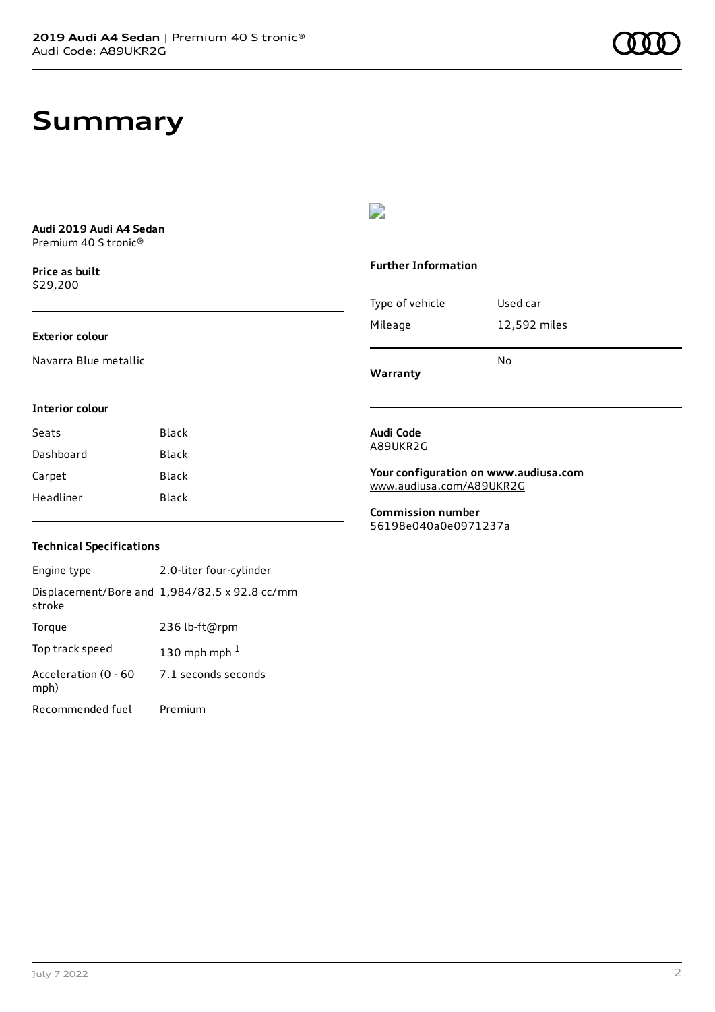### **Summary**

**Audi 2019 Audi A4 Sedan** Premium 40 S tronic®

**Price as buil[t](#page-10-0)** \$29,200

#### **Exterior colour**

Navarra Blue metallic

D

#### **Further Information**

| Warranty        |              |
|-----------------|--------------|
|                 | N٥           |
| Mileage         | 12,592 miles |
| Type of vehicle | Used car     |

#### **Interior colour**

| Seats     | Black |
|-----------|-------|
| Dashboard | Black |
| Carpet    | Black |
| Headliner | Black |

### **Audi Code** A89UKR2G

**Your configuration on www.audiusa.com** [www.audiusa.com/A89UKR2G](https://www.audiusa.com/A89UKR2G)

**Commission number** 56198e040a0e0971237a

### **Technical Specifications**

Engine type 2.0-liter four-cylinder Displacement/Bore and 1,984/82.5 x 92.8 cc/mm stroke Torque 236 lb-ft@rpm Top track speed  $130$  $130$  mph mph  $^{\rm 1}$ Acceleration (0 - 60 mph) 7.1 seconds seconds Recommended fuel Premium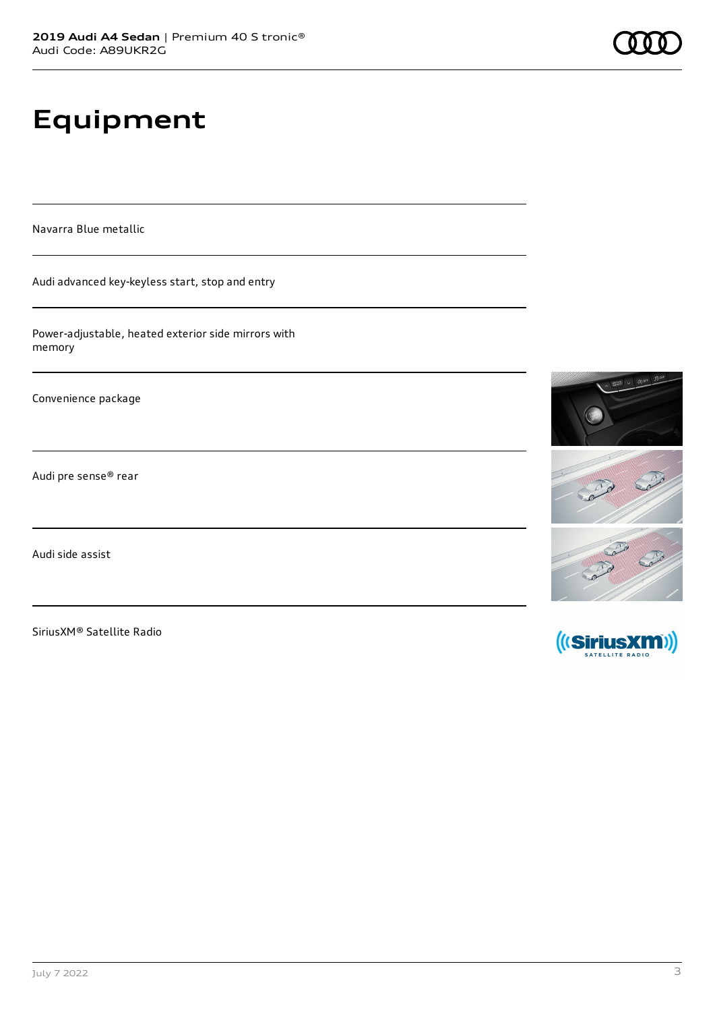# **Equipment**

Navarra Blue metallic

Audi advanced key-keyless start, stop and entry

Power-adjustable, heated exterior side mirrors with memory

Convenience package

Audi pre sense® rear

Audi side assist

SiriusXM® Satellite Radio



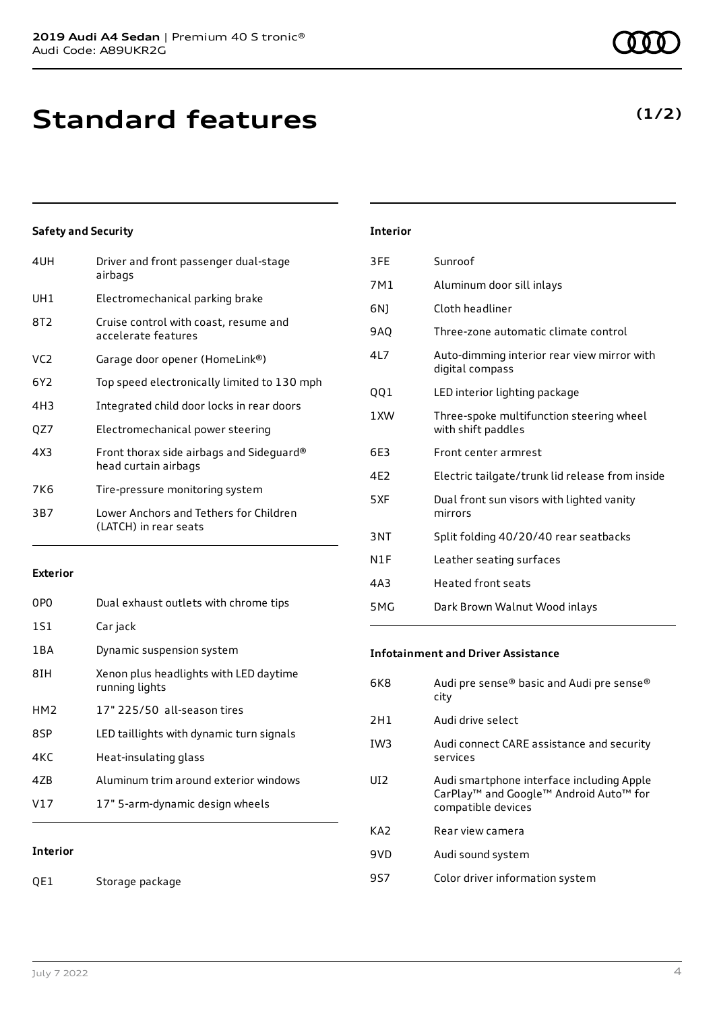**Standard features**

### **Safety and Security**

| 4UH             | Driver and front passenger dual-stage<br>airbags                 |
|-----------------|------------------------------------------------------------------|
| UH1             | Electromechanical parking brake                                  |
| 8T2             | Cruise control with coast, resume and<br>accelerate features     |
| VC <sub>2</sub> | Garage door opener (HomeLink®)                                   |
| 6Y2             | Top speed electronically limited to 130 mph                      |
| 4H3             | Integrated child door locks in rear doors                        |
| QZ7             | Electromechanical power steering                                 |
| 4X3             | Front thorax side airbags and Sideguard®<br>head curtain airbags |
| 7K6             | Tire-pressure monitoring system                                  |
| 3B7             | Lower Anchors and Tethers for Children<br>(LATCH) in rear seats  |
|                 |                                                                  |

### **Exterior**

| 0PO             | Dual exhaust outlets with chrome tips                    |
|-----------------|----------------------------------------------------------|
| 1S1             | Car jack                                                 |
| 1 B A           | Dynamic suspension system                                |
| 8TH             | Xenon plus headlights with LED daytime<br>running lights |
| HM <sub>2</sub> | 17" 225/50 all-season tires                              |
| 8SP             | LED taillights with dynamic turn signals                 |
| 4KC             | Heat-insulating glass                                    |
| 47B             | Aluminum trim around exterior windows                    |
| V17             | 17" 5-arm-dynamic design wheels                          |
|                 |                                                          |

**Interior**

| <b>Interior</b> |  |
|-----------------|--|
|                 |  |

| 3FE             | Sunroof                                                        |
|-----------------|----------------------------------------------------------------|
| 7M1             | Aluminum door sill inlays                                      |
| 6N)             | Cloth headliner                                                |
| <b>9AQ</b>      | Three-zone automatic climate control                           |
| 417             | Auto-dimming interior rear view mirror with<br>digital compass |
| QQ1             | LED interior lighting package                                  |
| 1 XW            | Three-spoke multifunction steering wheel<br>with shift paddles |
|                 |                                                                |
| 6E3             | Front center armrest                                           |
| 4F <sub>2</sub> | Electric tailgate/trunk lid release from inside                |
| 5XF             | Dual front sun visors with lighted vanity<br>mirrors           |
| 3NT             | Split folding 40/20/40 rear seatbacks                          |
| N1F             | Leather seating surfaces                                       |
| 4A3             | Heated front seats                                             |

### **Infotainment and Driver Assistance**

| 6K8  | Audi pre sense® basic and Audi pre sense®<br>city                                                                                 |
|------|-----------------------------------------------------------------------------------------------------------------------------------|
| 2H1  | Audi drive select                                                                                                                 |
| TW3  | Audi connect CARE assistance and security<br>services                                                                             |
| UT2. | Audi smartphone interface including Apple<br>CarPlay <sup>™</sup> and Google™ Android Auto <sup>™</sup> for<br>compatible devices |
| KA2  | Rear view camera                                                                                                                  |
| 9VD  | Audi sound system                                                                                                                 |
| 957  | Color driver information system                                                                                                   |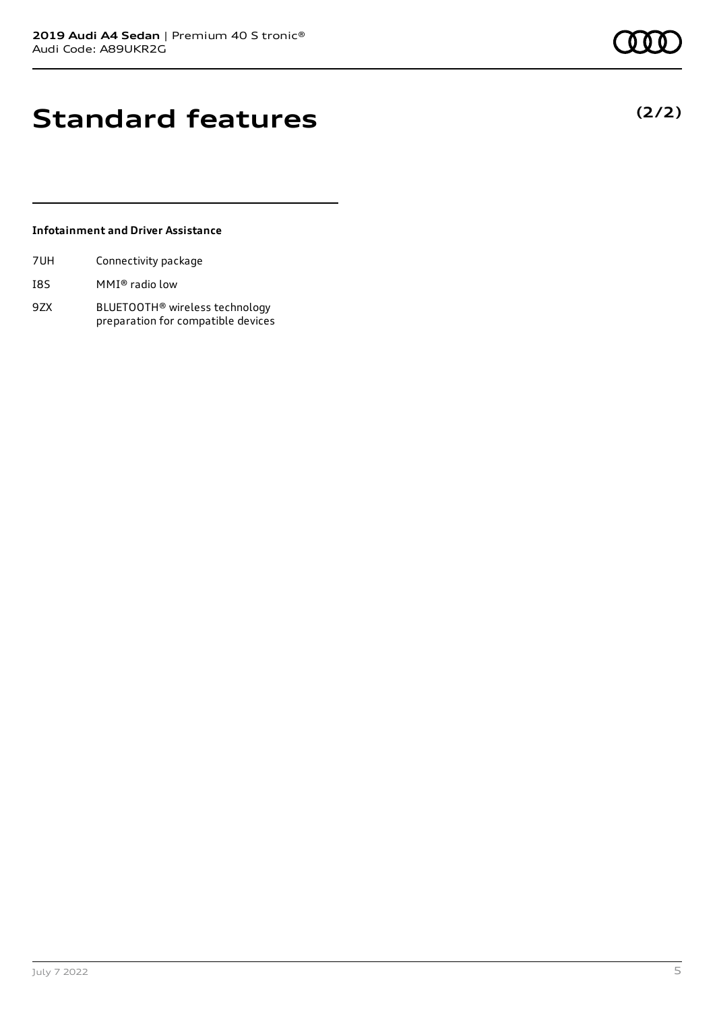# **Standard features**

### **Infotainment and Driver Assistance**

| 7UH | Connectivity package |  |
|-----|----------------------|--|
|     |                      |  |

- I8S MMI® radio low
- 9ZX BLUETOOTH® wireless technology preparation for compatible devices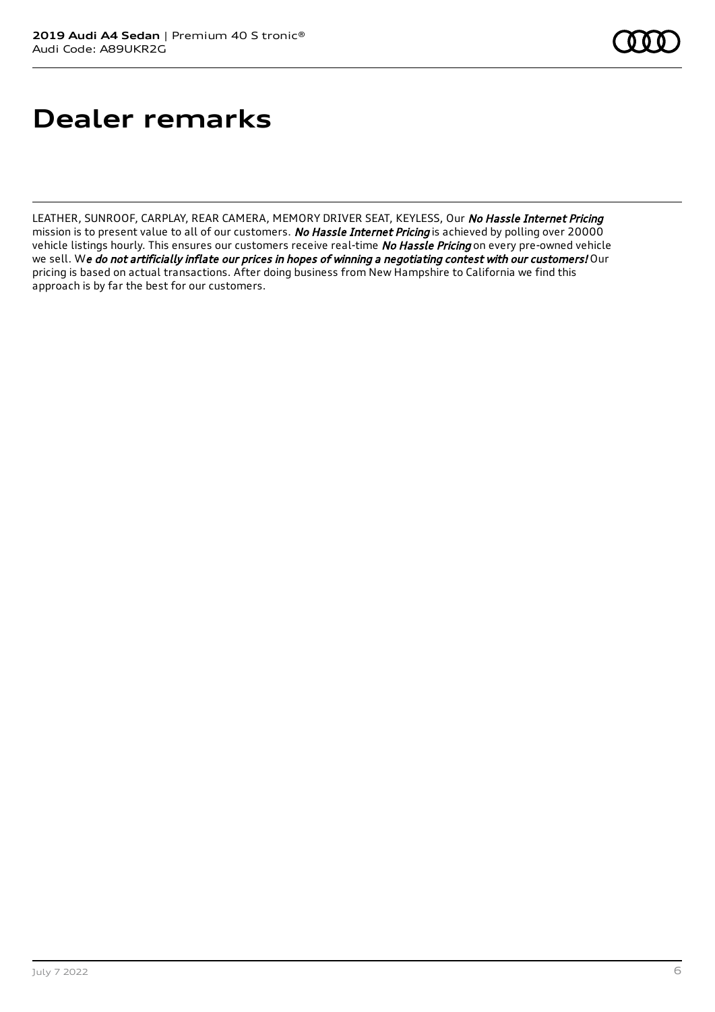# **Dealer remarks**

LEATHER, SUNROOF, CARPLAY, REAR CAMERA, MEMORY DRIVER SEAT, KEYLESS, Our No Hassle Internet Pricing mission is to present value to all of our customers. No Hassle Internet Pricing is achieved by polling over 20000 vehicle listings hourly. This ensures our customers receive real-time No Hassle Pricing on every pre-owned vehicle we sell. We do not artificially inflate our prices in hopes of winning a negotiating contest with our customers! Our pricing is based on actual transactions. After doing business from New Hampshire to California we find this approach is by far the best for our customers.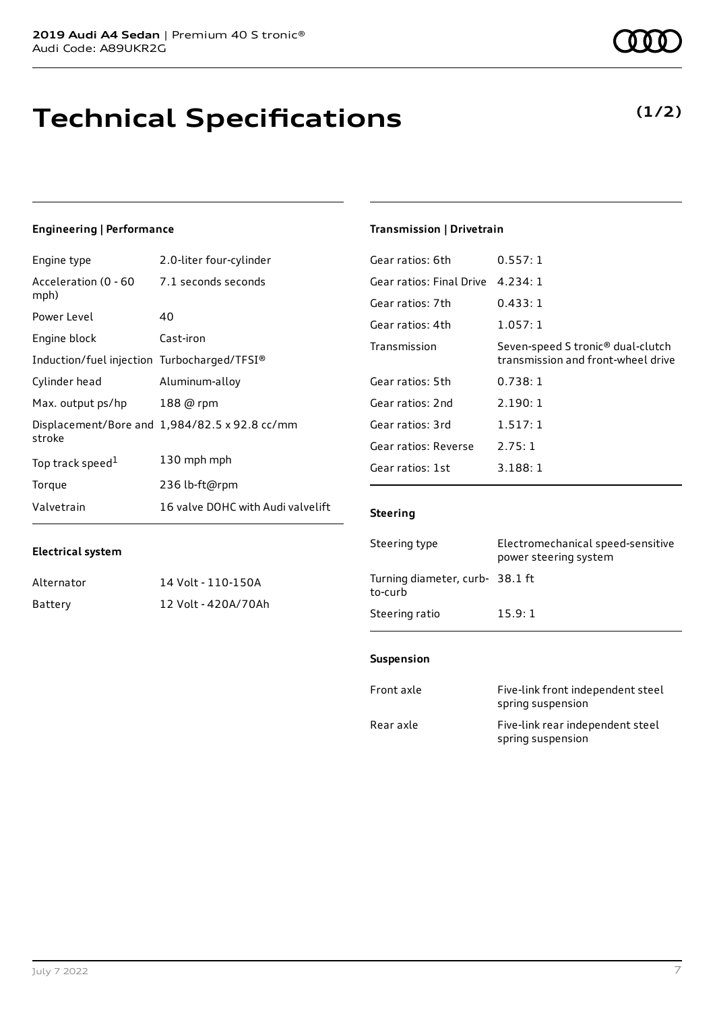# **Technical Specifications**

### **Engineering | Performance**

**Electrical system**

| Engine type                                 | 2.0-liter four-cylinder                       |
|---------------------------------------------|-----------------------------------------------|
| Acceleration (0 - 60<br>mph)                | 7.1 seconds seconds                           |
| Power Level                                 | 40                                            |
| Engine block                                | Cast-iron                                     |
| Induction/fuel injection Turbocharged/TFSI® |                                               |
| Cylinder head                               | Aluminum-alloy                                |
| Max. output ps/hp                           | 188 @ rpm                                     |
| stroke                                      | Displacement/Bore and 1,984/82.5 x 92.8 cc/mm |
| Top track speed <sup>1</sup>                | 130 mph mph                                   |
| Torque                                      | 236 lb-ft@rpm                                 |
| Valvetrain                                  | 16 valve DOHC with Audi valvelift             |

Alternator 14 Volt - 110-150A Battery 12 Volt - 420A/70Ah

#### **Transmission | Drivetrain**

| 0.557:1                                                                 |
|-------------------------------------------------------------------------|
| 4.234:1                                                                 |
| 0.433:1                                                                 |
| 1.057:1                                                                 |
| Seven-speed S tronic® dual-clutch<br>transmission and front-wheel drive |
| 0.738:1                                                                 |
| 2.190:1                                                                 |
| 1.517:1                                                                 |
| 2.75:1                                                                  |
| 3.188:1                                                                 |
|                                                                         |

#### **Steering**

| Steering type                             | Electromechanical speed-sensitive<br>power steering system |
|-------------------------------------------|------------------------------------------------------------|
| Turning diameter, curb-38.1 ft<br>to-curb |                                                            |
| Steering ratio                            | 15.9:1                                                     |

#### **Suspension**

| Front axle | Five-link front independent steel<br>spring suspension |
|------------|--------------------------------------------------------|
| Rear axle  | Five-link rear independent steel<br>spring suspension  |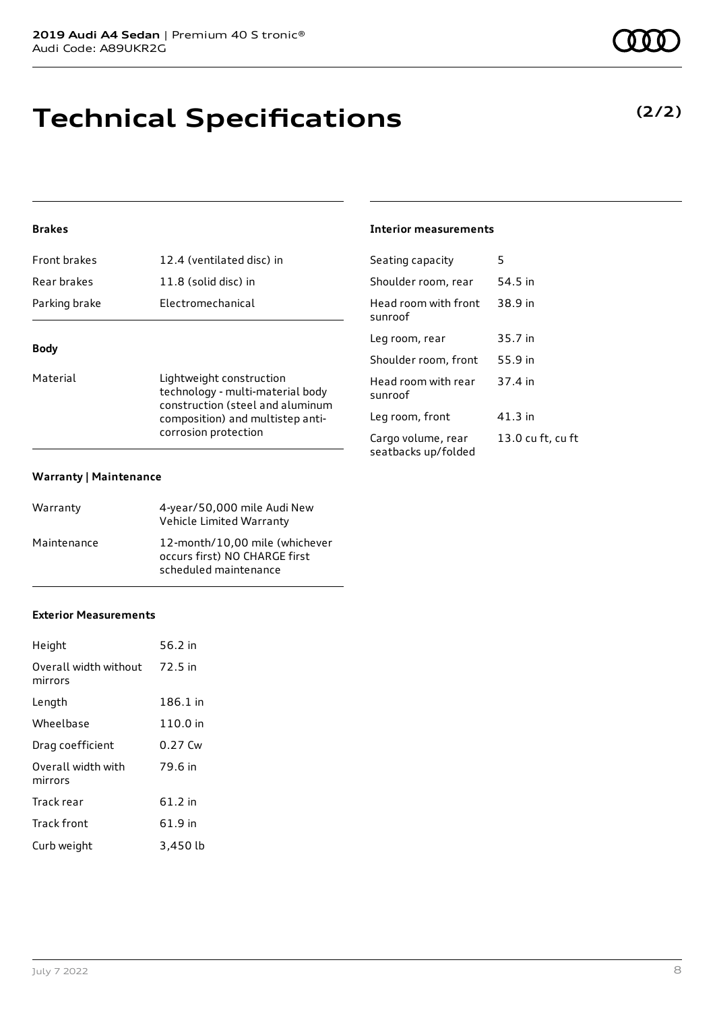# **Technical Specifications**

### **Brakes**

| <b>Front brakes</b> | 12.4 (ventilated disc) in |
|---------------------|---------------------------|
| Rear brakes         | 11.8 (solid disc) in      |
| Parking brake       | Electromechanical         |
|                     |                           |

### **Body**

Material **Material** Lightweight construction technology - multi-material body construction (steel and aluminum composition) and multistep anticorrosion protection

#### **Warranty | Maintenance**

| Warranty    | 4-year/50,000 mile Audi New<br>Vehicle Limited Warranty                                  |
|-------------|------------------------------------------------------------------------------------------|
| Maintenance | 12-month/10,00 mile (whichever<br>occurs first) NO CHARGE first<br>scheduled maintenance |

#### **Exterior Measurements**

| Height                           | 56.2 in   |
|----------------------------------|-----------|
| Overall width without<br>mirrors | 72.5 in   |
| Length                           | 186.1 in  |
| Wheelbase                        | 110.0 in  |
| Drag coefficient                 | $0.27$ Cw |
| Overall width with<br>mirrors    | 79.6 in   |
| Track rear                       | 61.2 in   |
| <b>Track front</b>               | 61.9 in   |
| Curb weight                      | 3,450 lb  |

### **Interior measurements**

| Seating capacity                          | 5                 |
|-------------------------------------------|-------------------|
| Shoulder room, rear                       | 54.5 in           |
| Head room with front<br>sunroof           | 38.9 in           |
| Leg room, rear                            | 35.7 in           |
| Shoulder room, front                      | 55.9 in           |
| Head room with rear<br>sunroof            | 37.4 in           |
| Leg room, front                           | 41.3 in           |
| Cargo volume, rear<br>seatbacks up/folded | 13.0 cu ft, cu ft |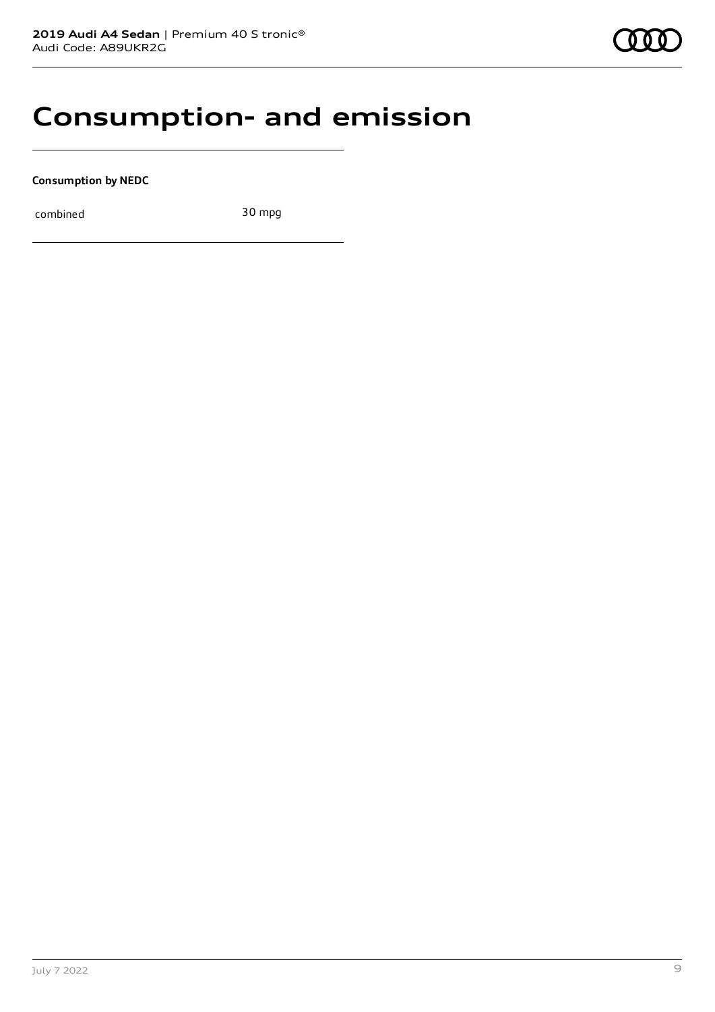### **Consumption- and emission**

**Consumption by NEDC**

combined 30 mpg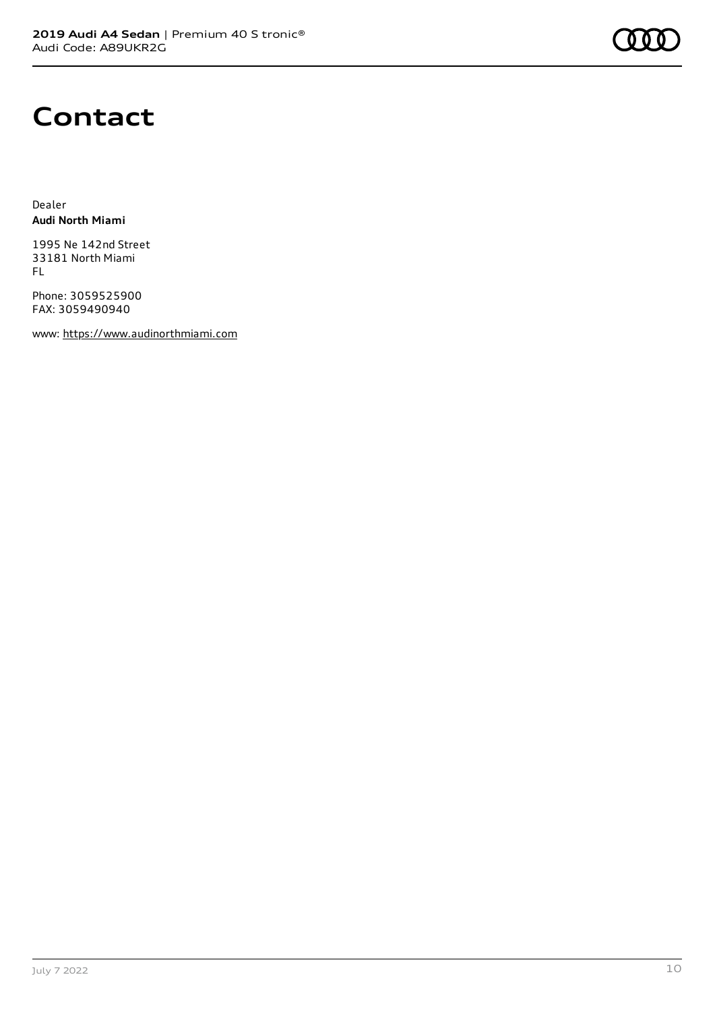

### **Contact**

Dealer **Audi North Miami**

1995 Ne 142nd Street 33181 North Miami FL

Phone: 3059525900 FAX: 3059490940

www: [https://www.audinorthmiami.com](https://www.audinorthmiami.com/)